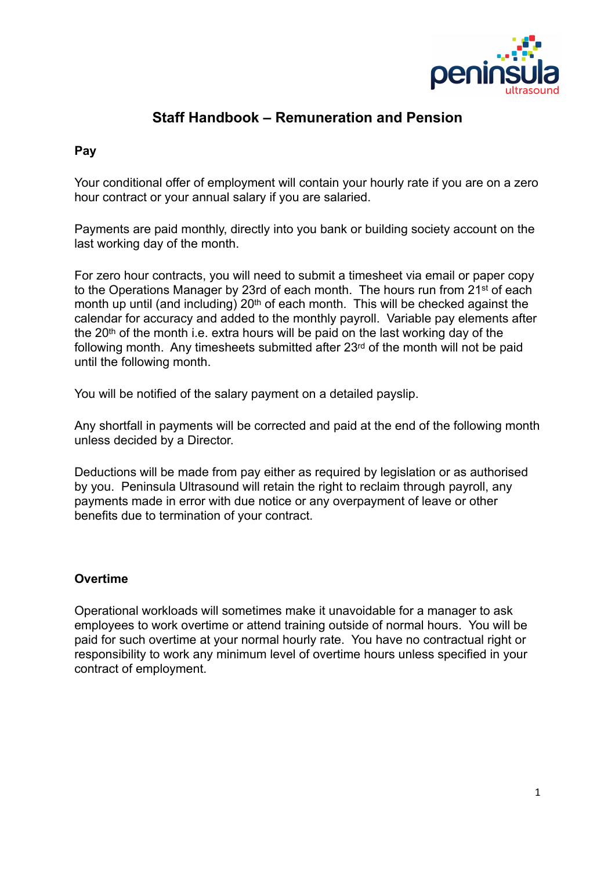

## **Staff Handbook – Remuneration and Pension**

## **Pay**

Your conditional offer of employment will contain your hourly rate if you are on a zero hour contract or your annual salary if you are salaried.

Payments are paid monthly, directly into you bank or building society account on the last working day of the month.

For zero hour contracts, you will need to submit a timesheet via email or paper copy to the Operations Manager by 23rd of each month. The hours run from 21st of each month up until (and including) 20<sup>th</sup> of each month. This will be checked against the calendar for accuracy and added to the monthly payroll. Variable pay elements after the 20<sup>th</sup> of the month i.e. extra hours will be paid on the last working day of the following month. Any timesheets submitted after 23rd of the month will not be paid until the following month.

You will be notified of the salary payment on a detailed payslip.

Any shortfall in payments will be corrected and paid at the end of the following month unless decided by a Director.

Deductions will be made from pay either as required by legislation or as authorised by you. Peninsula Ultrasound will retain the right to reclaim through payroll, any payments made in error with due notice or any overpayment of leave or other benefits due to termination of your contract.

## **Overtime**

Operational workloads will sometimes make it unavoidable for a manager to ask employees to work overtime or attend training outside of normal hours. You will be paid for such overtime at your normal hourly rate. You have no contractual right or responsibility to work any minimum level of overtime hours unless specified in your contract of employment.